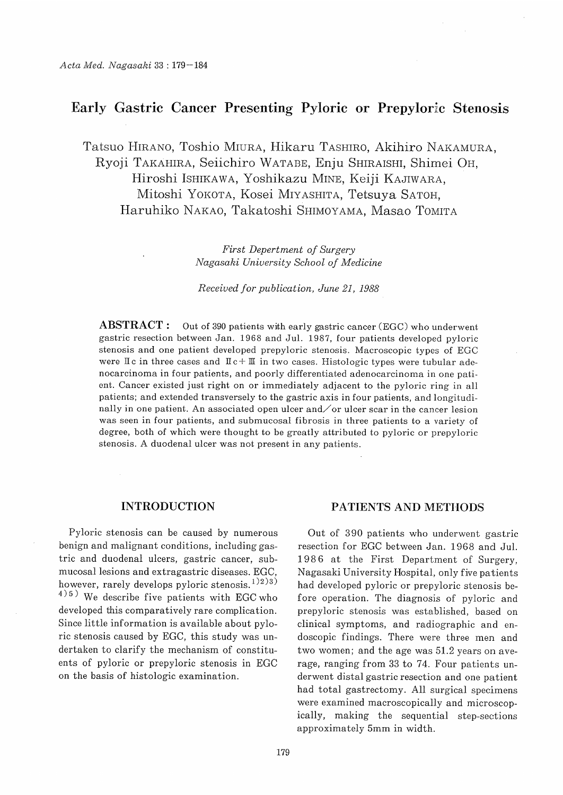# Early Gastric Cancer Presenting Pyloric or Prepyloric Stenosis

Tatsuo HIRANO, Toshio MIURA, Hikaru TASHIRO, Akihiro NAKAMURA, Ryoji TAKAHIRA, Seiichiro WATABE, Enju SHIRAISHI, Shimei OH, Hiroshi ISHIKAWA, Yoshikazu MINE, Keiji KAJIWARA, Mitoshi YOKOTA, Kosei MIYASHITA, Tetsuya SATOH, Haruhiko NAKAO, Takatoshi SHIMOYAMA, Masao TOMITA

> First Depertment of Surgery Nagasaki University School of Medicine

> Received for publication, June 21, 1988

**ABSTRACT**: Out of 390 patients with early gastric cancer (EGC) who underwent gastric resection between Jan. 1968 and Jul. 1987, four patients developed pyloric stenosis and one patient developed prepyloric stenosis. Macroscopic types of EGC were  $\mathbb{I}c$  in three cases and  $\mathbb{I}c + \mathbb{I}$  in two cases. Histologic types were tubular adenocarcinoma in four patients, and poorly differentiated adenocarcinoma in one patient. Cancer existed just right on or immediately adjacent to the pyloric ring in all patients; and extended transversely to the gastric axis in four patients, and longitudinally in one patient. An associated open ulcer and  $\sigma$  v ulcer scar in the cancer lesion was seen in four patients, and submucosal fibrosis in three patients to a variety of degree, both of which were thought to be greatly attributed to pyloric or prepyloric stenosis. A duodenal ulcer was not present in any patients.

#### INTRODUCTION

Pyloric stenosis can be caused by numerous benign and malignant conditions, including gastric and duodenal ulcers, gastric cancer, submucosal lesions and extragastric diseases. EGC, however, rarely develops pyloric stenosis.  $(1)(2)(3)$  $^{4})$ <sup>5</sup>) We describe five patients with EGC who developed this comparatively rare complication. Since little information is available about pyloric stenosis caused by EGC, this study was undertaken to clarify the mechanism of constituents of pyloric or prepyloric stenosis in EGC on the basis of histologic examination.

#### PATIENTS AND METHODS

Out of 390 patients who underwent gastric resection for EGC between Jan. 1968 and Jul. 1986 at the First Department of Surgery, Nagasaki University Hospital, only five patients had developed pyloric or prepyloric stenosis before operation. The diagnosis of pyloric and prepyloric stenosis was established, based on clinical symptoms, and radiographic and endoscopic findings. There were three men and two women; and the age was 51.2 years on average, ranging from 33 to 74. Four patients underwent distal gastric resection and one patient had total gastrectomy. All surgical specimens were examined macroscopically and microscopically, making the sequential step-sections approximately 5mm in width.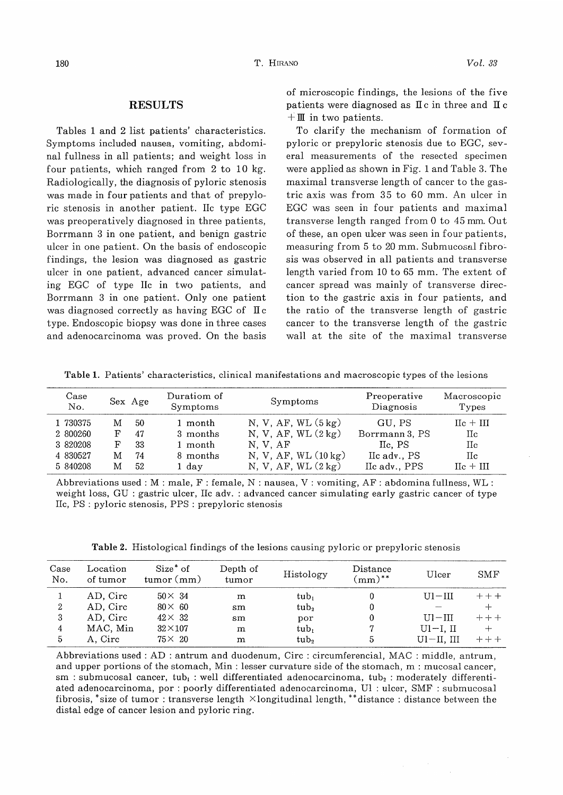### RESULTS

Tables 1 and 2 list patients' characteristics. Symptoms included nausea, vomiting, abdominal fullness in all patients; and weight loss in four patients, which ranged from 2 to 10 kg. Radiologically, the diagnosis of pyloric stenosis was made in four patients and that of prepyloric stenosis in another patient. IIc type EGC was preoperatively diagnosed in three patients, Borrmann 3 in one patient, and benign gastric ulcer in one patient. On the basis of endoscopic findings, the lesion was diagnosed as gastric ulcer in one patient, advanced cancer simulating EGC of type IIc in two patients, and Borrmann 3 in one patient. Only one patient was diagnosed correctly as having EGC of  $\mathbb{I}c$ type. Endoscopic biopsy was done in three cases and adenocarcinoma was proved. On the basis of microscopic findings, the lesions of the five patients were diagnosed as  $I\mathbb{I}c$  in three and  $I\mathbb{I}c$  $+ \mathbb{I}$  in two patients.

To clarify the mechanism of formation of pyloric or prepyloric stenosis due to EGC, several measurements of the resected specimen were applied as shown in Fig. 1 and Table 3. The maximal transverse length of cancer to the gastric axis was from 35 to 60 mm. An ulcer in EGC was seen in four patients and maximal transverse length ranged from 0 to 45 mm. Out of these, an open ulcer was seen in four patients, measuring from 5 to 20 mm. Submucosal fibrosis was observed in all patients and transverse length varied from 10 to 65 mm. The extent of cancer spread was mainly of transverse direction to the gastric axis in four patients, and the ratio of the transverse length of gastric cancer to the transverse length of the gastric wall at the site of the maximal transverse

Table 1. Patients' characteristics, clinical manifestations and macroscopic types of the lesions

| $\rm Case$<br>No.                            |             | Sex Age              | Duratiom of<br>Symptoms                      | Symptoms                                                                                          | Preoperative<br>Diagnosis                           | Macroscopic<br>Types                        |
|----------------------------------------------|-------------|----------------------|----------------------------------------------|---------------------------------------------------------------------------------------------------|-----------------------------------------------------|---------------------------------------------|
| 1 730375<br>2 800260<br>3 820208<br>4 830527 | м<br>F<br>M | 50<br>47<br>33<br>74 | $1$ month<br>3 months<br>1 month<br>8 months | N, V, AF, WL $(5 \text{ kg})$<br>N, V, AF, $WL(2 kg)$<br>N.V.AF<br>N, V, AF, WL $(10 \text{ kg})$ | GU. PS<br>Borrmann 3, PS<br>IIc. PS<br>IIc adv., PS | $\text{IIc} + \text{III}$<br>Нc<br>Нc<br>Пc |
| 5 840208                                     | M           | 52                   | 1 day                                        | N. V. AF. WL $(2 \text{ kg})$                                                                     | IIc adv., PPS                                       | $He + HI$                                   |

Abbreviations used : M : male, F : female, N : nausea, V : vomiting, AF: abdomina fullness, WL : weight loss, GU : gastric ulcer, lie adv. : advanced cancer simulating early gastric cancer of type IIe, PS : pyloric stenosis, PPS : prepyloric stenosis

Table 2. Histological findings of the lesions causing pyloric or prepyloric stenosis

| Case<br>No. | Location<br>of tumor | Size <sup>*</sup> of<br>tumor (mm) | Depth of<br>tumor | Histology        | Distance<br>$\mu$ mm)** | Uncer          | <b>SMF</b> |
|-------------|----------------------|------------------------------------|-------------------|------------------|-------------------------|----------------|------------|
|             | AD. Circ             | $50\times 34$                      | m                 | tub <sub>1</sub> |                         | $U1 - III$     | $+ + +$    |
| 2           | AD. Circ             | $80\times 60$                      | $\text{sm}$       | tub <sub>2</sub> |                         |                |            |
| 3           | AD. Circ             | $42\times 32$                      | sm                | por              |                         | $LII - III$    | $+++$      |
| 4           | MAC, Min             | $32\times107$                      | m                 | $tub_1$          |                         | $U1-I, II$     |            |
| 5           | A. Circ              | $75\times 20$                      | m                 | tub <sub>2</sub> | 5                       | $U1-U$ , $III$ | +++        |

Abbreviations used : AD : antrum and duodenum, Circ : circumferencial, MAC : middle, antrum, and upper portions of the stomach, Min : lesser curvature side of the stomach, m : mucosal cancer, sm : submucosal cancer, tub<sub>1</sub> : well differentiated adenocarcinoma, tub<sub>2</sub> : moderately differentiated adenocarcinoma, por : poorly differentiated adenocarcinoma, Ul : ulcer, SMF : submucosal fibrosis, \*size of tumor : transverse length  $\times$ longitudinal length, \*\*distance : distance between the distal edge of cancer lesion and pyloric ring.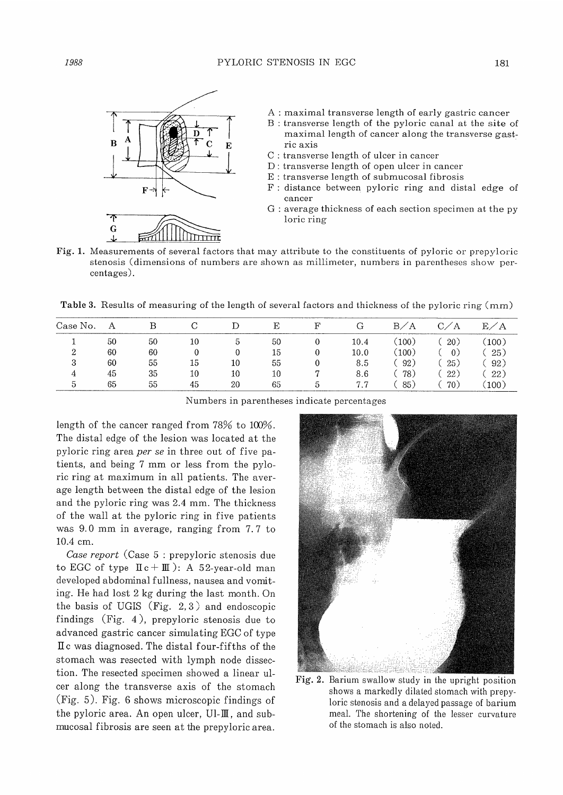

A : maximal transverse length of early gastric cancer

- B : transverse length of the pyloric canal at the site of maximal length of cancer along the transverse gastric axis
- C : transverse length of ulcer in cancer
- D : transverse length of open ulcer in cancer
- E : transverse length of submucosal fibrosis
- F : distance between pyloric ring and distal edge of cancer
- G : average thickness of each section specimen at the py loric ring
- Fig. 1. Measurements of several factors that may attribute to the constituents of pyloric or prepyloric stenosis (dimensions of numbers are shown as millimeter, numbers in parentheses show percentages).

Table 3. Results of measuring of the length of several factors and thickness of the pyloric ring (mm)

| Case No. | А  |    |    |    |    | G    | B/A   | C/A | E/A   |
|----------|----|----|----|----|----|------|-------|-----|-------|
|          | 50 | 50 | 10 | :5 | 50 | 10.4 | (100) | 20) | (100) |
|          | 60 | 60 |    | 0  | 15 | 10.0 | (100) |     | 25)   |
| 3        | 60 | 55 | 15 | 10 | 55 | 8.5  | 92)   | 25) | 92)   |
| 4        | 45 | 35 | 10 | 10 | 10 | 8.6  | 78)   | 22) | 22)   |
|          | 65 | 55 | 45 | 20 | 65 | 7.7  | 85)   | 70) | 100)  |

Numbers in parentheses indicate percentages

length of the cancer ranged from 78% to 100%. The distal edge of the lesion was located at the pyloric ring area per se in three out of five patients, and being 7 mm or less from the pyloric ring at maximum in all patients. The average length between the distal edge of the lesion and the pyloric ring was 2.4 mm. The thickness of the wall at the pyloric ring in five patients was 9.0 mm in average, ranging from 7.7 to 10.4 cm.

Case report (Case 5 : prepyloric stenosis due to EGC of type  $\text{II } c + \text{III}$ ): A 52-year-old man developed abdominal fullness, nausea and vomiting. He had lost 2 kg during the last month. On the basis of UGIS (Fig. 2, 3) and endoscopic findings (Fig. 4 ), prepyloric stenosis due to advanced gastric cancer simulating EGC of type II c was diagnosed. The distal four-fifths of the stomach was resected with lymph node dissection. The resected specimen showed a linear ulcer along the transverse axis of the stomach (Fig. 5). Fig. 6 shows microscopic findings of the pyloric area. An open ulcer,  $UI - II$ , and submucosal fibrosis are seen at the prepyloric area.



Fig. 2. Barium swallow study in the upright position shows a markedly dilated stomach with prepyloric stenosis and a delayed passage of barium meal. The shortening of the lesser curvature of the stomach is also noted.

G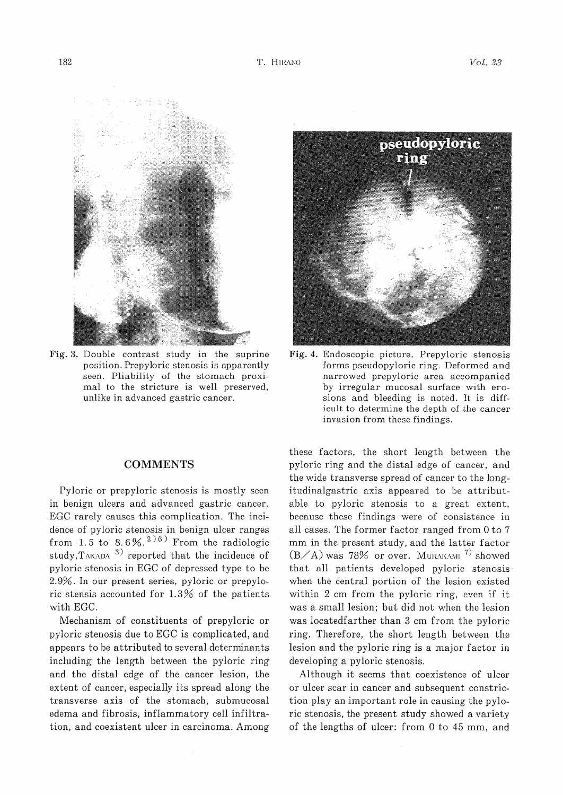

Fig. 3. Double contrast study in the suprine position. Prepyloric stenosis is apparently seen. Pliability of the stomach proximal to the stricture is well preserved, unlike in advanced gastric cancer.

### **COMMENTS**

Pyloric or prepyloric stenosis is mostly seen in benign ulcers and advanced gastric cancer. EGC rarely causes this complication. The incidence of pyloric stenosis in benign ulcer range from 1.5 to 8.6%.<sup>2)6)</sup> From the radiolog study, TAKADA  $3)$  reported that the incidence of pyloric stenosis in EGC of depressed type to be 2.9%. In our present series, pyloric or prepyloric stensis accounted for 1.3% of the patients with EGC.

Mechanism of constituents of prepyloric or pyloric stenosis due to EGC is complicated, and appears to be attributed to several determinants including the length between the pyloric ring and the distal edge of the cancer lesion, the extent of cancer, especially its spread along the transverse axis of the stomach, submucosal edema and fibrosis, inflammatory cell infiltration, and coexistent ulcer in carcinoma. Among



Fig. 4. Endoscopic picture. Prepyloric stenosis forms pseudopyloric ring. Deformed and narrowed prepyloric area accompanied by irregular mucosal surface with erosions and bleeding is noted. It is difficult to determine the depth of the cancer invasion from these findings.

these factors, the short length between the pyloric ring and the distal edge of cancer, and the wide transverse spread of cancer to the longitudinalgastric axis appeared to be attributable to pyloric stenosis to a great extent, because these findings were of consistence in all cases. The former factor ranged from 0 to 7 mm in the present study, and the latter factor  $(B/A)$  was 78% or over. MURAKAMI<sup>7)</sup> showed that all patients developed pyloric stenosis when the central portion of the lesion existed within 2 cm from the pyloric ring, even if it was a small lesion; but did not when the lesion was locatedfarther than 3 cm from the pyloric ring. Therefore, the short length between the lesion and the pyloric ring is a major factor in developing a pyloric stenosis.

Although it seems that coexistence of ulcer or ulcer scar in cancer and subsequent constriction play an important role in causing the pyloric stenosis, the present study showed a variety of the lengths of ulcer: from 0 to 45 mm, and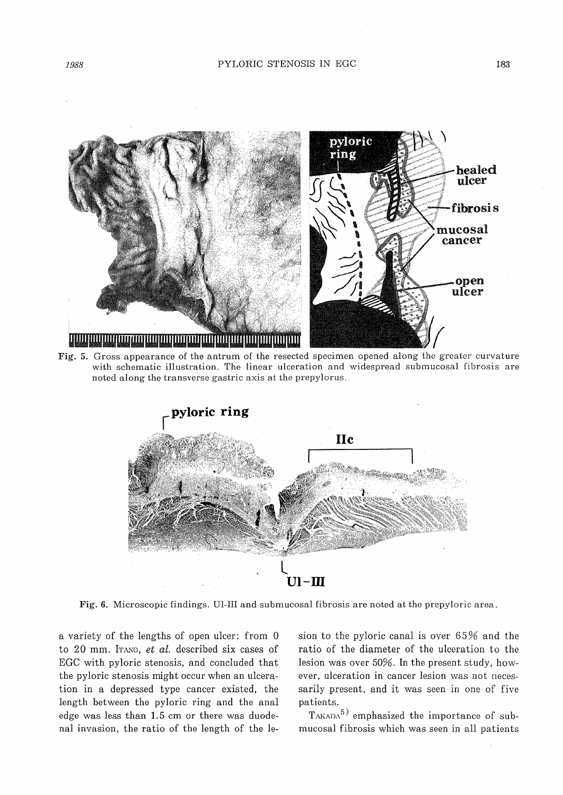

Fig. 5. Gross appearance of the antrum of the resected specimen opened along the greater curvature with schematic illustration. The linear ulceration and widespread submucosal fibrosis are noted along the transverse gastric axis at the prepylorus.



Fig. 6. Microscopic findings. Ul-III and submucosal fibrosis are noted at the prepyloric area.

a variety of the lengths of open ulcer: from 0 to 20 mm. ITANO, et al. described six cases of EGC with pyloric stenosis, and concluded that the pyloric stenosis might occur when an ulceration in a depressed type cancer existed, the length between the pyloric ring and the anal edge was less than 1.5 cm or there was duodenal invasion, the ratio of the length of the lesion to the pyloric canal is over 65% and the ratio of the diameter of the ulceration to the lesion was over 50%. In the present study, however, ulceration in cancer lesion was not necessarily present, and it was seen in one of five patients.

 $T<sub>AKADA</sub>5$  emphasized the importance of submucosal fibrosis which was seen in all patients